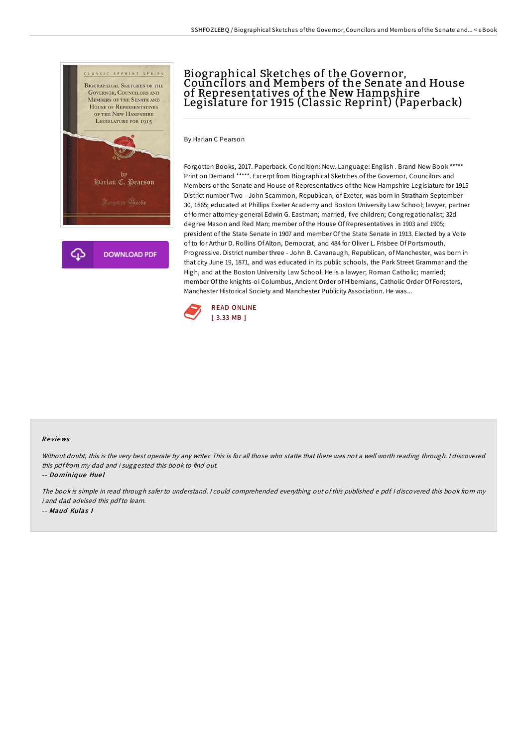

## Biographical Sketches of the Governor, Councilors and Members of the Senate and House of Representatives of the New Hampshire Legislature for 1915 (Classic Reprint) (Paperback)

By Harlan C Pearson

Forgotten Books, 2017. Paperback. Condition: New. Language: English . Brand New Book \*\*\*\*\* Print on Demand \*\*\*\*\*. Excerpt from Biographical Sketches of the Governor, Councilors and Members of the Senate and House of Representatives of the New Hampshire Legislature for 1915 District number Two - John Scammon, Republican, of Exeter, was born in Stratham September 30, 1865; educated at Phillips Exeter Academy and Boston University Law School; lawyer, partner of former attorney-general Edwin G. Eastman; married, five children; Congregationalist; 32d degree Mason and Red Man; member of the House Of Representatives in 1903 and 1905; president of the State Senate in 1907 and member Of the State Senate in 1913. Elected by a Vote of to for Arthur D. Rollins Of Alton, Democrat, and 484 for Oliver L. Frisbee Of Portsmouth, Progressive. District number three - John B. Cavanaugh, Republican, of Manchester, was born in that city June 19, 1871, and was educated in its public schools, the Park Street Grammar and the High, and at the Boston University Law School. He is a lawyer; Roman Catholic; married; member Of the knights-oi Columbus, Ancient Order of Hibernians, Catholic Order Of Foresters, Manchester Historical Society and Manchester Publicity Association. He was...



## Re views

Without doubt, this is the very best operate by any writer. This is for all those who statte that there was not <sup>a</sup> well worth reading through. <sup>I</sup> discovered this pdf from my dad and i suggested this book to find out.

-- Do miniq ue Hue l

The book is simple in read through safer to understand. <sup>I</sup> could comprehended everything out of this published <sup>e</sup> pdf. <sup>I</sup> discovered this book from my i and dad advised this pdfto learn. -- Maud Kulas I